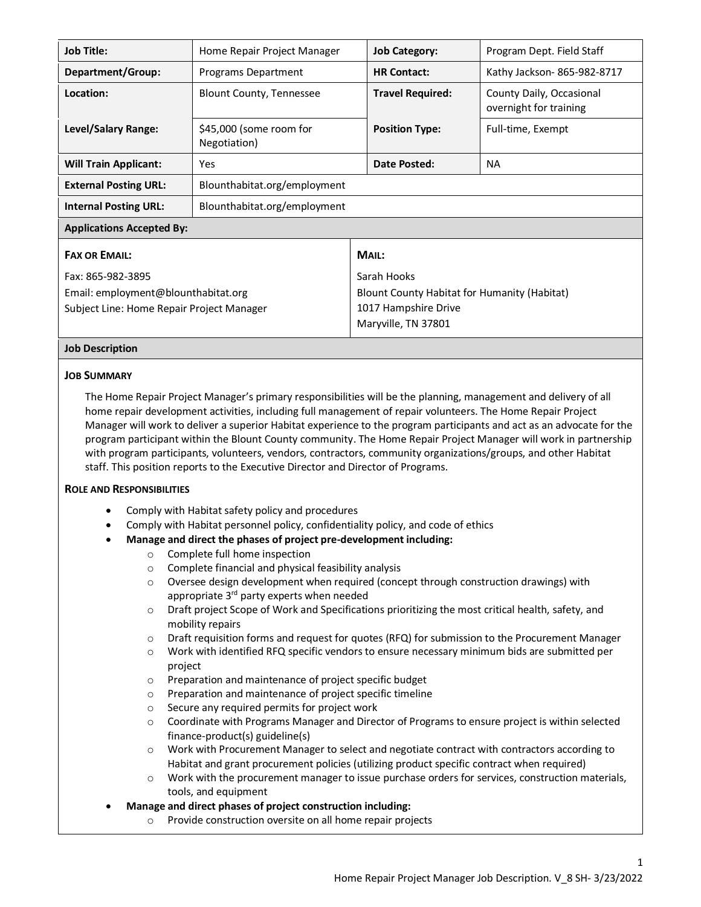| <b>Job Title:</b>                                                                                     | Home Repair Project Manager             |                                                                                                            | <b>Job Category:</b>    | Program Dept. Field Staff                          |  |
|-------------------------------------------------------------------------------------------------------|-----------------------------------------|------------------------------------------------------------------------------------------------------------|-------------------------|----------------------------------------------------|--|
| Department/Group:                                                                                     | Programs Department                     |                                                                                                            | <b>HR Contact:</b>      | Kathy Jackson-865-982-8717                         |  |
| Location:                                                                                             | <b>Blount County, Tennessee</b>         |                                                                                                            | <b>Travel Required:</b> | County Daily, Occasional<br>overnight for training |  |
| Level/Salary Range:                                                                                   | \$45,000 (some room for<br>Negotiation) |                                                                                                            | <b>Position Type:</b>   | Full-time, Exempt                                  |  |
| <b>Will Train Applicant:</b>                                                                          | Yes                                     |                                                                                                            | Date Posted:            | <b>NA</b>                                          |  |
| <b>External Posting URL:</b>                                                                          | Blounthabitat.org/employment            |                                                                                                            |                         |                                                    |  |
| <b>Internal Posting URL:</b>                                                                          | Blounthabitat.org/employment            |                                                                                                            |                         |                                                    |  |
| <b>Applications Accepted By:</b>                                                                      |                                         |                                                                                                            |                         |                                                    |  |
| <b>FAX OR EMAIL:</b>                                                                                  |                                         | MAIL:                                                                                                      |                         |                                                    |  |
| Fax: 865-982-3895<br>Email: employment@blounthabitat.org<br>Subject Line: Home Repair Project Manager |                                         | Sarah Hooks<br>Blount County Habitat for Humanity (Habitat)<br>1017 Hampshire Drive<br>Maryville, TN 37801 |                         |                                                    |  |

## **Job Description**

#### **JOB SUMMARY**

The Home Repair Project Manager's primary responsibilities will be the planning, management and delivery of all home repair development activities, including full management of repair volunteers. The Home Repair Project Manager will work to deliver a superior Habitat experience to the program participants and act as an advocate for the program participant within the Blount County community. The Home Repair Project Manager will work in partnership with program participants, volunteers, vendors, contractors, community organizations/groups, and other Habitat staff. This position reports to the Executive Director and Director of Programs.

#### **ROLE AND RESPONSIBILITIES**

- Comply with Habitat safety policy and procedures
- Comply with Habitat personnel policy, confidentiality policy, and code of ethics
- **Manage and direct the phases of project pre-development including:** 
	- o Complete full home inspection
	- o Complete financial and physical feasibility analysis
	- $\circ$  Oversee design development when required (concept through construction drawings) with appropriate 3<sup>rd</sup> party experts when needed
	- o Draft project Scope of Work and Specifications prioritizing the most critical health, safety, and mobility repairs
	- $\circ$  Draft requisition forms and request for quotes (RFQ) for submission to the Procurement Manager
	- $\circ$  Work with identified RFQ specific vendors to ensure necessary minimum bids are submitted per project
	- o Preparation and maintenance of project specific budget
	- o Preparation and maintenance of project specific timeline
	- o Secure any required permits for project work
	- o Coordinate with Programs Manager and Director of Programs to ensure project is within selected finance-product(s) guideline(s)
	- o Work with Procurement Manager to select and negotiate contract with contractors according to Habitat and grant procurement policies (utilizing product specific contract when required)
	- o Work with the procurement manager to issue purchase orders for services, construction materials, tools, and equipment
- **Manage and direct phases of project construction including:** 
	- o Provide construction oversite on all home repair projects

1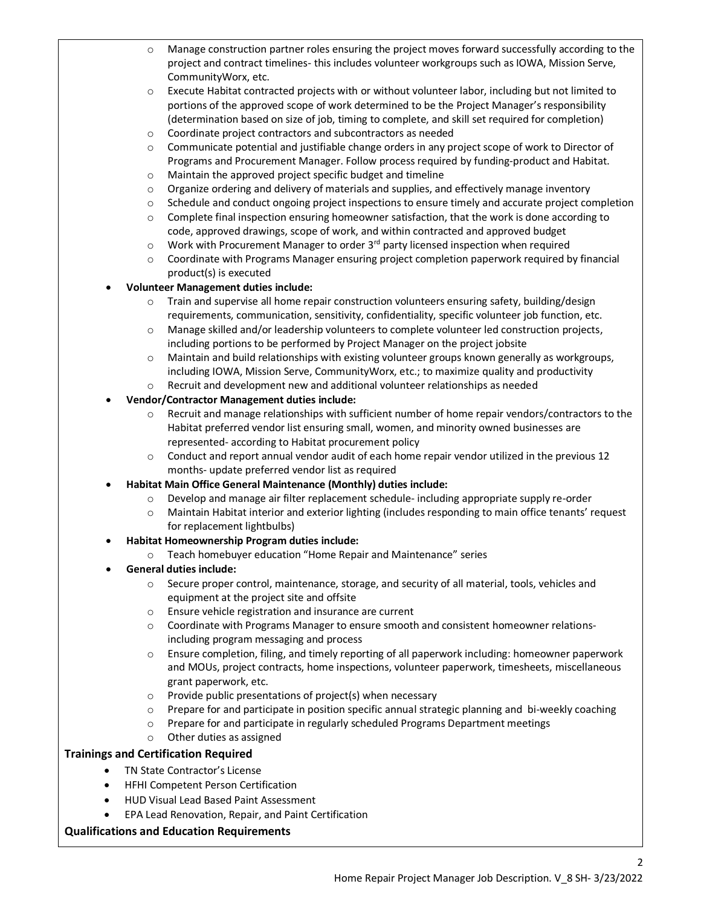- o Manage construction partner roles ensuring the project moves forward successfully according to the project and contract timelines- this includes volunteer workgroups such as IOWA, Mission Serve, CommunityWorx, etc.
- o Execute Habitat contracted projects with or without volunteer labor, including but not limited to portions of the approved scope of work determined to be the Project Manager's responsibility (determination based on size of job, timing to complete, and skill set required for completion)
- o Coordinate project contractors and subcontractors as needed
- o Communicate potential and justifiable change orders in any project scope of work to Director of Programs and Procurement Manager. Follow process required by funding-product and Habitat.
- o Maintain the approved project specific budget and timeline
- $\circ$  Organize ordering and delivery of materials and supplies, and effectively manage inventory
- $\circ$  Schedule and conduct ongoing project inspections to ensure timely and accurate project completion
- $\circ$  Complete final inspection ensuring homeowner satisfaction, that the work is done according to code, approved drawings, scope of work, and within contracted and approved budget
- $\circ$  Work with Procurement Manager to order 3<sup>rd</sup> party licensed inspection when required
- o Coordinate with Programs Manager ensuring project completion paperwork required by financial product(s) is executed
- **Volunteer Management duties include:**
	- o Train and supervise all home repair construction volunteers ensuring safety, building/design requirements, communication, sensitivity, confidentiality, specific volunteer job function, etc.
	- $\circ$  Manage skilled and/or leadership volunteers to complete volunteer led construction projects, including portions to be performed by Project Manager on the project jobsite
	- o Maintain and build relationships with existing volunteer groups known generally as workgroups, including IOWA, Mission Serve, CommunityWorx, etc.; to maximize quality and productivity
	- o Recruit and development new and additional volunteer relationships as needed
- **Vendor/Contractor Management duties include:**
	- o Recruit and manage relationships with sufficient number of home repair vendors/contractors to the Habitat preferred vendor list ensuring small, women, and minority owned businesses are represented- according to Habitat procurement policy
	- $\circ$  Conduct and report annual vendor audit of each home repair vendor utilized in the previous 12 months- update preferred vendor list as required
	- **Habitat Main Office General Maintenance (Monthly) duties include:**
		- o Develop and manage air filter replacement schedule- including appropriate supply re-order
		- o Maintain Habitat interior and exterior lighting (includes responding to main office tenants' request for replacement lightbulbs)
- **Habitat Homeownership Program duties include:**
	- o Teach homebuyer education "Home Repair and Maintenance" series
- **General duties include:** 
	- o Secure proper control, maintenance, storage, and security of all material, tools, vehicles and equipment at the project site and offsite
	- o Ensure vehicle registration and insurance are current
	- o Coordinate with Programs Manager to ensure smooth and consistent homeowner relationsincluding program messaging and process
	- o Ensure completion, filing, and timely reporting of all paperwork including: homeowner paperwork and MOUs, project contracts, home inspections, volunteer paperwork, timesheets, miscellaneous grant paperwork, etc.
	- o Provide public presentations of project(s) when necessary
	- o Prepare for and participate in position specific annual strategic planning and bi-weekly coaching
	- o Prepare for and participate in regularly scheduled Programs Department meetings
	- o Other duties as assigned

# **Trainings and Certification Required**

- TN State Contractor's License
	- HFHI Competent Person Certification
- HUD Visual Lead Based Paint Assessment
- EPA Lead Renovation, Repair, and Paint Certification

## **Qualifications and Education Requirements**